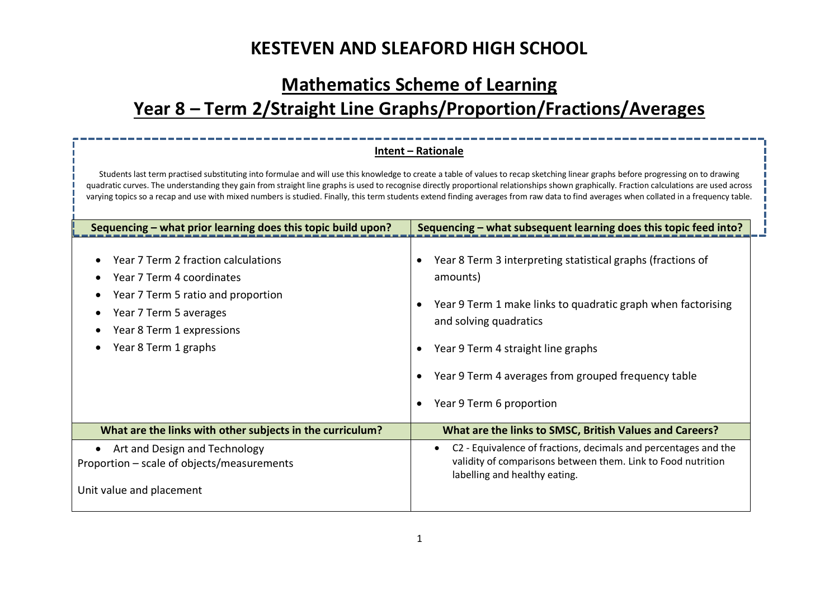### **Mathematics Scheme of Learning**

# **Year 8 – Term 2/Straight Line Graphs/Proportion/Fractions/Averages**

### **Intent – Rationale**

Students last term practised substituting into formulae and will use this knowledge to create a table of values to recap sketching linear graphs before progressing on to drawing quadratic curves. The understanding they gain from straight line graphs is used to recognise directly proportional relationships shown graphically. Fraction calculations are used across varying topics so a recap and use with mixed numbers is studied. Finally, this term students extend finding averages from raw data to find averages when collated in a frequency table.

| Sequencing – what prior learning does this topic build upon?                                                                                                                          | Sequencing - what subsequent learning does this topic feed into?                                                                                                                                                                                                                           |  |  |  |
|---------------------------------------------------------------------------------------------------------------------------------------------------------------------------------------|--------------------------------------------------------------------------------------------------------------------------------------------------------------------------------------------------------------------------------------------------------------------------------------------|--|--|--|
| Year 7 Term 2 fraction calculations<br>Year 7 Term 4 coordinates<br>Year 7 Term 5 ratio and proportion<br>Year 7 Term 5 averages<br>Year 8 Term 1 expressions<br>Year 8 Term 1 graphs | Year 8 Term 3 interpreting statistical graphs (fractions of<br>amounts)<br>Year 9 Term 1 make links to quadratic graph when factorising<br>and solving quadratics<br>Year 9 Term 4 straight line graphs<br>Year 9 Term 4 averages from grouped frequency table<br>Year 9 Term 6 proportion |  |  |  |
| What are the links with other subjects in the curriculum?                                                                                                                             | What are the links to SMSC, British Values and Careers?                                                                                                                                                                                                                                    |  |  |  |
| Art and Design and Technology<br>Proportion – scale of objects/measurements<br>Unit value and placement                                                                               | C2 - Equivalence of fractions, decimals and percentages and the<br>validity of comparisons between them. Link to Food nutrition<br>labelling and healthy eating.                                                                                                                           |  |  |  |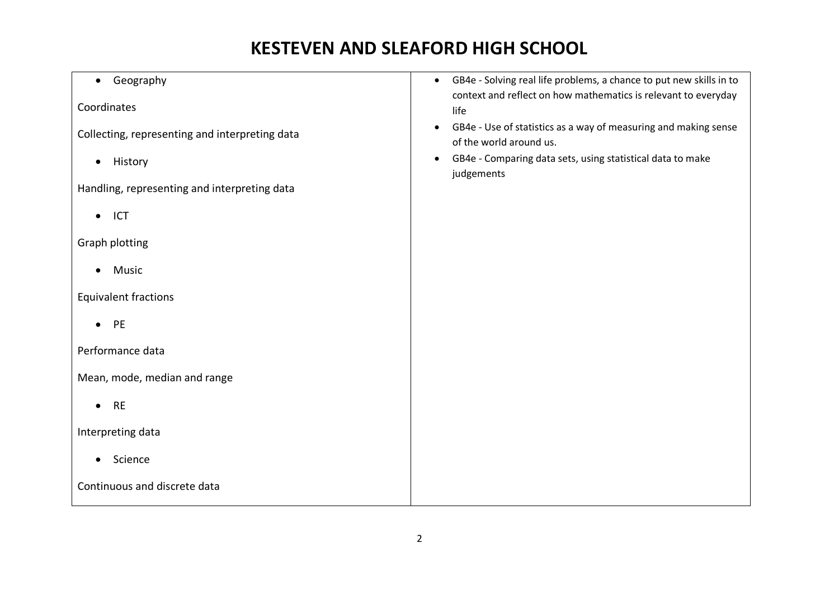| Geography<br>$\bullet$                         | GB4e - Solving real life problems, a chance to put new skills in to<br>$\bullet$<br>context and reflect on how mathematics is relevant to everyday |
|------------------------------------------------|----------------------------------------------------------------------------------------------------------------------------------------------------|
| Coordinates                                    | life                                                                                                                                               |
| Collecting, representing and interpreting data | GB4e - Use of statistics as a way of measuring and making sense<br>of the world around us.                                                         |
| History<br>$\bullet$                           | GB4e - Comparing data sets, using statistical data to make<br>$\bullet$<br>judgements                                                              |
| Handling, representing and interpreting data   |                                                                                                                                                    |
| $\bullet$ ICT                                  |                                                                                                                                                    |
| <b>Graph plotting</b>                          |                                                                                                                                                    |
| Music                                          |                                                                                                                                                    |
| <b>Equivalent fractions</b>                    |                                                                                                                                                    |
| PE<br>$\bullet$                                |                                                                                                                                                    |
| Performance data                               |                                                                                                                                                    |
| Mean, mode, median and range                   |                                                                                                                                                    |
| <b>RE</b><br>$\bullet$                         |                                                                                                                                                    |
| Interpreting data                              |                                                                                                                                                    |
| Science                                        |                                                                                                                                                    |
| Continuous and discrete data                   |                                                                                                                                                    |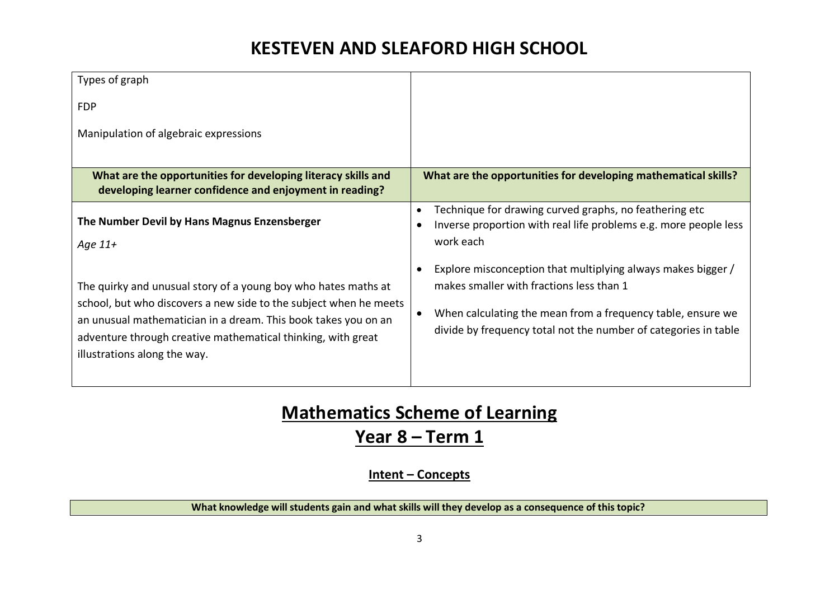| Types of graph                                                                                                                                                                                                                                                                                        |                                                                                                                                                                                                                                            |
|-------------------------------------------------------------------------------------------------------------------------------------------------------------------------------------------------------------------------------------------------------------------------------------------------------|--------------------------------------------------------------------------------------------------------------------------------------------------------------------------------------------------------------------------------------------|
| <b>FDP</b>                                                                                                                                                                                                                                                                                            |                                                                                                                                                                                                                                            |
| Manipulation of algebraic expressions                                                                                                                                                                                                                                                                 |                                                                                                                                                                                                                                            |
| What are the opportunities for developing literacy skills and<br>developing learner confidence and enjoyment in reading?                                                                                                                                                                              | What are the opportunities for developing mathematical skills?                                                                                                                                                                             |
| The Number Devil by Hans Magnus Enzensberger<br>Age $11+$                                                                                                                                                                                                                                             | Technique for drawing curved graphs, no feathering etc<br>Inverse proportion with real life problems e.g. more people less<br>work each                                                                                                    |
| The quirky and unusual story of a young boy who hates maths at<br>school, but who discovers a new side to the subject when he meets<br>an unusual mathematician in a dream. This book takes you on an<br>adventure through creative mathematical thinking, with great<br>illustrations along the way. | Explore misconception that multiplying always makes bigger /<br>makes smaller with fractions less than 1<br>When calculating the mean from a frequency table, ensure we<br>divide by frequency total not the number of categories in table |

# **Mathematics Scheme of Learning**

# **Year 8 – Term 1**

### **Intent – Concepts**

### **What knowledge will students gain and what skills will they develop as a consequence of this topic?**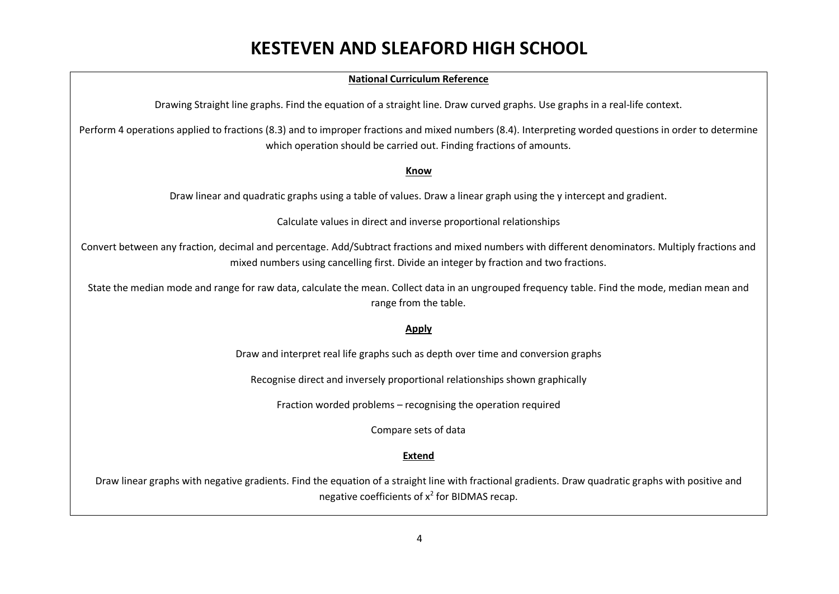### **National Curriculum Reference**

Drawing Straight line graphs. Find the equation of a straight line. Draw curved graphs. Use graphs in a real-life context.

Perform 4 operations applied to fractions (8.3) and to improper fractions and mixed numbers (8.4). Interpreting worded questions in order to determine which operation should be carried out. Finding fractions of amounts.

#### **Know**

Draw linear and quadratic graphs using a table of values. Draw a linear graph using the y intercept and gradient.

Calculate values in direct and inverse proportional relationships

Convert between any fraction, decimal and percentage. Add/Subtract fractions and mixed numbers with different denominators. Multiply fractions and mixed numbers using cancelling first. Divide an integer by fraction and two fractions.

State the median mode and range for raw data, calculate the mean. Collect data in an ungrouped frequency table. Find the mode, median mean and range from the table.

#### **Apply**

Draw and interpret real life graphs such as depth over time and conversion graphs

Recognise direct and inversely proportional relationships shown graphically

Fraction worded problems – recognising the operation required

Compare sets of data

### **Extend**

Draw linear graphs with negative gradients. Find the equation of a straight line with fractional gradients. Draw quadratic graphs with positive and negative coefficients of  $x^2$  for BIDMAS recap.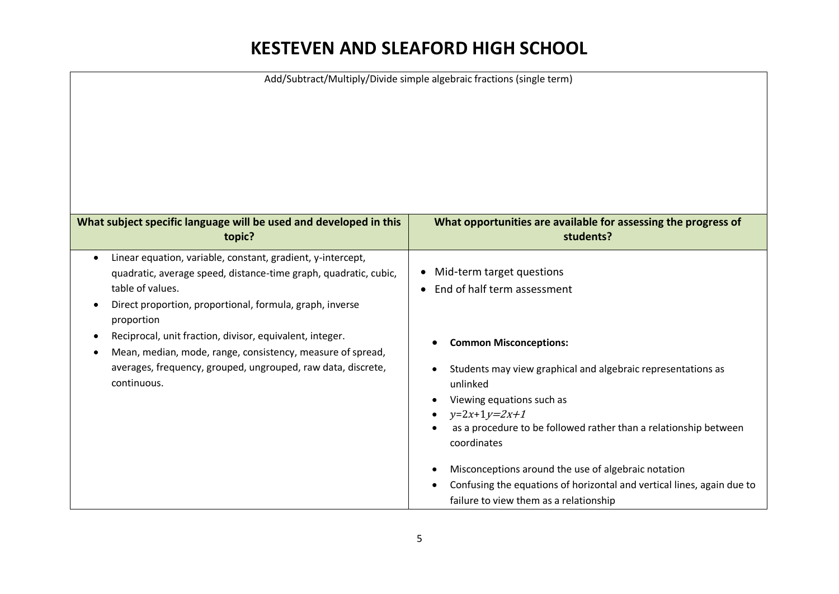| Add/Subtract/Multiply/Divide simple algebraic fractions (single term)                                                                                                                                                                      |                                                                                                                                                                                                                                             |  |  |
|--------------------------------------------------------------------------------------------------------------------------------------------------------------------------------------------------------------------------------------------|---------------------------------------------------------------------------------------------------------------------------------------------------------------------------------------------------------------------------------------------|--|--|
|                                                                                                                                                                                                                                            |                                                                                                                                                                                                                                             |  |  |
| What subject specific language will be used and developed in this<br>topic?                                                                                                                                                                | What opportunities are available for assessing the progress of<br>students?                                                                                                                                                                 |  |  |
| Linear equation, variable, constant, gradient, y-intercept,<br>$\bullet$<br>quadratic, average speed, distance-time graph, quadratic, cubic,<br>table of values.<br>Direct proportion, proportional, formula, graph, inverse<br>proportion | Mid-term target questions<br>$\bullet$<br>End of half term assessment                                                                                                                                                                       |  |  |
| Reciprocal, unit fraction, divisor, equivalent, integer.<br>٠<br>Mean, median, mode, range, consistency, measure of spread,<br>٠<br>averages, frequency, grouped, ungrouped, raw data, discrete,<br>continuous.                            | <b>Common Misconceptions:</b><br>Students may view graphical and algebraic representations as<br>unlinked<br>Viewing equations such as<br>$y=2x+1y=2x+1$<br>as a procedure to be followed rather than a relationship between<br>coordinates |  |  |
|                                                                                                                                                                                                                                            | Misconceptions around the use of algebraic notation<br>Confusing the equations of horizontal and vertical lines, again due to<br>failure to view them as a relationship                                                                     |  |  |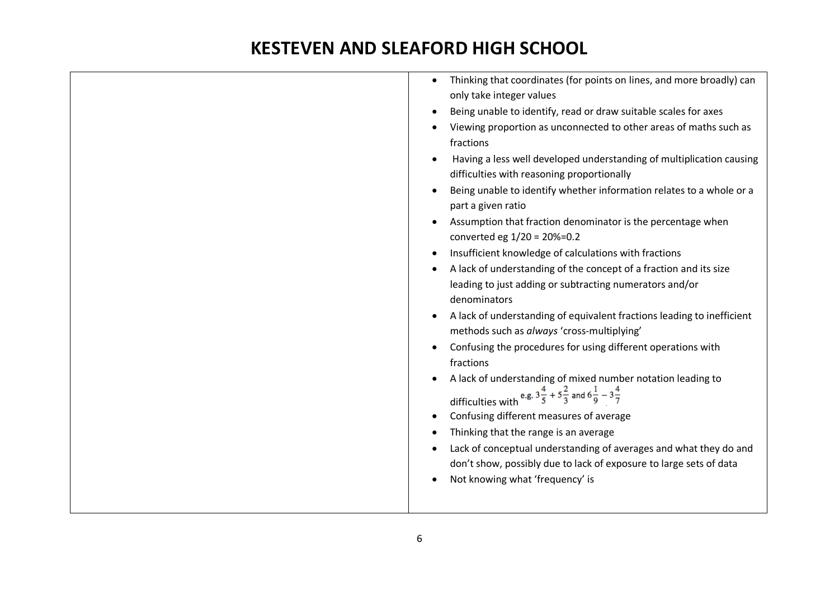| Thinking that coordinates (for points on lines, and more broadly) can<br>$\bullet$<br>only take integer values<br>Being unable to identify, read or draw suitable scales for axes<br>Viewing proportion as unconnected to other areas of maths such as<br>fractions<br>Having a less well developed understanding of multiplication causing<br>difficulties with reasoning proportionally<br>Being unable to identify whether information relates to a whole or a<br>part a given ratio<br>Assumption that fraction denominator is the percentage when<br>converted eg 1/20 = 20%=0.2<br>Insufficient knowledge of calculations with fractions<br>A lack of understanding of the concept of a fraction and its size<br>leading to just adding or subtracting numerators and/or<br>denominators |
|------------------------------------------------------------------------------------------------------------------------------------------------------------------------------------------------------------------------------------------------------------------------------------------------------------------------------------------------------------------------------------------------------------------------------------------------------------------------------------------------------------------------------------------------------------------------------------------------------------------------------------------------------------------------------------------------------------------------------------------------------------------------------------------------|
| methods such as always 'cross-multiplying'<br>Confusing the procedures for using different operations with<br>fractions                                                                                                                                                                                                                                                                                                                                                                                                                                                                                                                                                                                                                                                                        |
| A lack of understanding of mixed number notation leading to<br>difficulties with $e.g. 3\frac{4}{5} + 5\frac{2}{3}$ and $6\frac{1}{9} - 3\frac{4}{7}$<br>Confusing different measures of average<br>Thinking that the range is an average<br>Lack of conceptual understanding of averages and what they do and<br>don't show, possibly due to lack of exposure to large sets of data<br>Not knowing what 'frequency' is                                                                                                                                                                                                                                                                                                                                                                        |
|                                                                                                                                                                                                                                                                                                                                                                                                                                                                                                                                                                                                                                                                                                                                                                                                |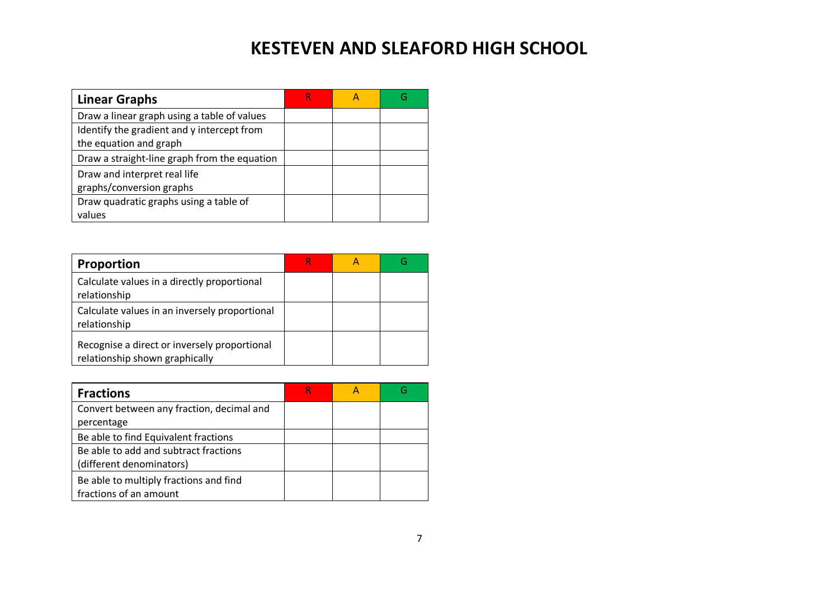| <b>Linear Graphs</b>                         |  | G |
|----------------------------------------------|--|---|
| Draw a linear graph using a table of values  |  |   |
| Identify the gradient and y intercept from   |  |   |
| the equation and graph                       |  |   |
| Draw a straight-line graph from the equation |  |   |
| Draw and interpret real life                 |  |   |
| graphs/conversion graphs                     |  |   |
| Draw quadratic graphs using a table of       |  |   |
| values                                       |  |   |

| <b>Proportion</b>                                                              | κ |  |
|--------------------------------------------------------------------------------|---|--|
| Calculate values in a directly proportional<br>relationship                    |   |  |
| Calculate values in an inversely proportional<br>relationship                  |   |  |
| Recognise a direct or inversely proportional<br>relationship shown graphically |   |  |

| <b>Fractions</b>                          |  | G |
|-------------------------------------------|--|---|
| Convert between any fraction, decimal and |  |   |
| percentage                                |  |   |
| Be able to find Equivalent fractions      |  |   |
| Be able to add and subtract fractions     |  |   |
| (different denominators)                  |  |   |
| Be able to multiply fractions and find    |  |   |
| fractions of an amount                    |  |   |